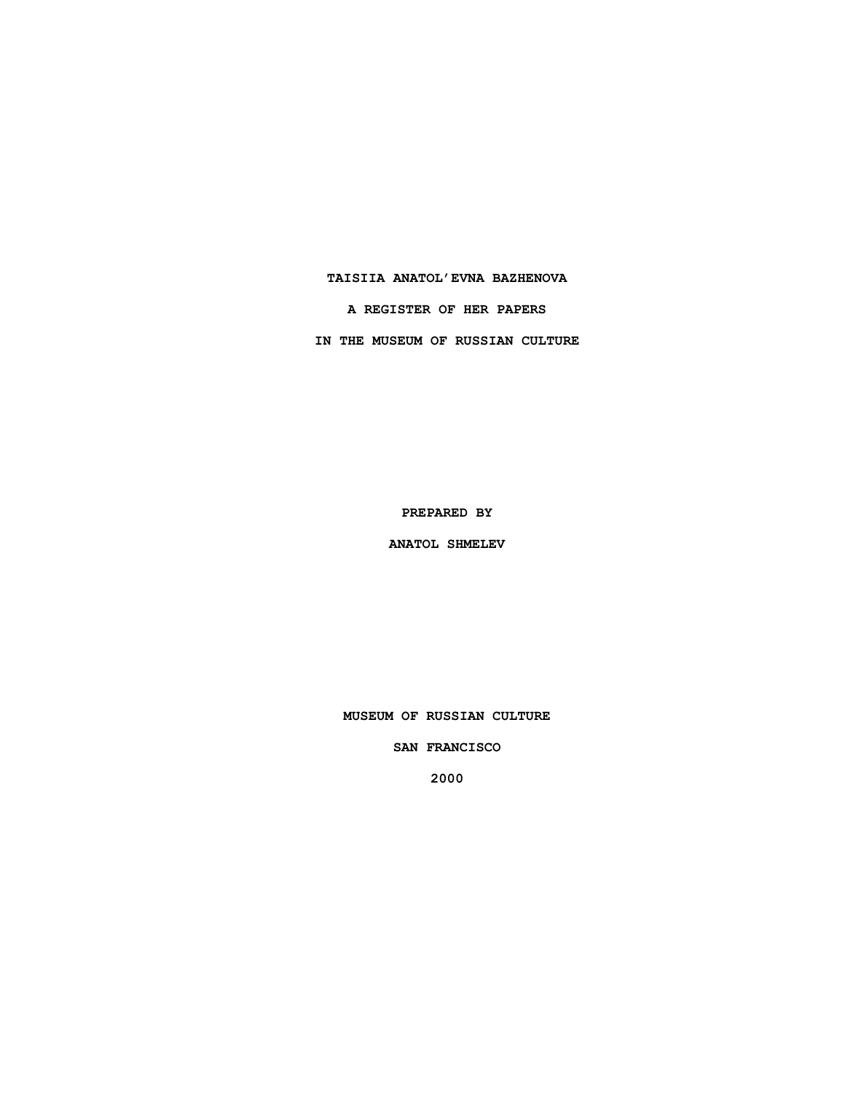**TAISIIA ANATOL'EVNA BAZHENOVA A REGISTER OF HER PAPERS**

**IN THE MUSEUM OF RUSSIAN CULTURE**

**PREPARED BY**

**ANATOL SHMELEV**

**MUSEUM OF RUSSIAN CULTURE**

**SAN FRANCISCO**

**2000**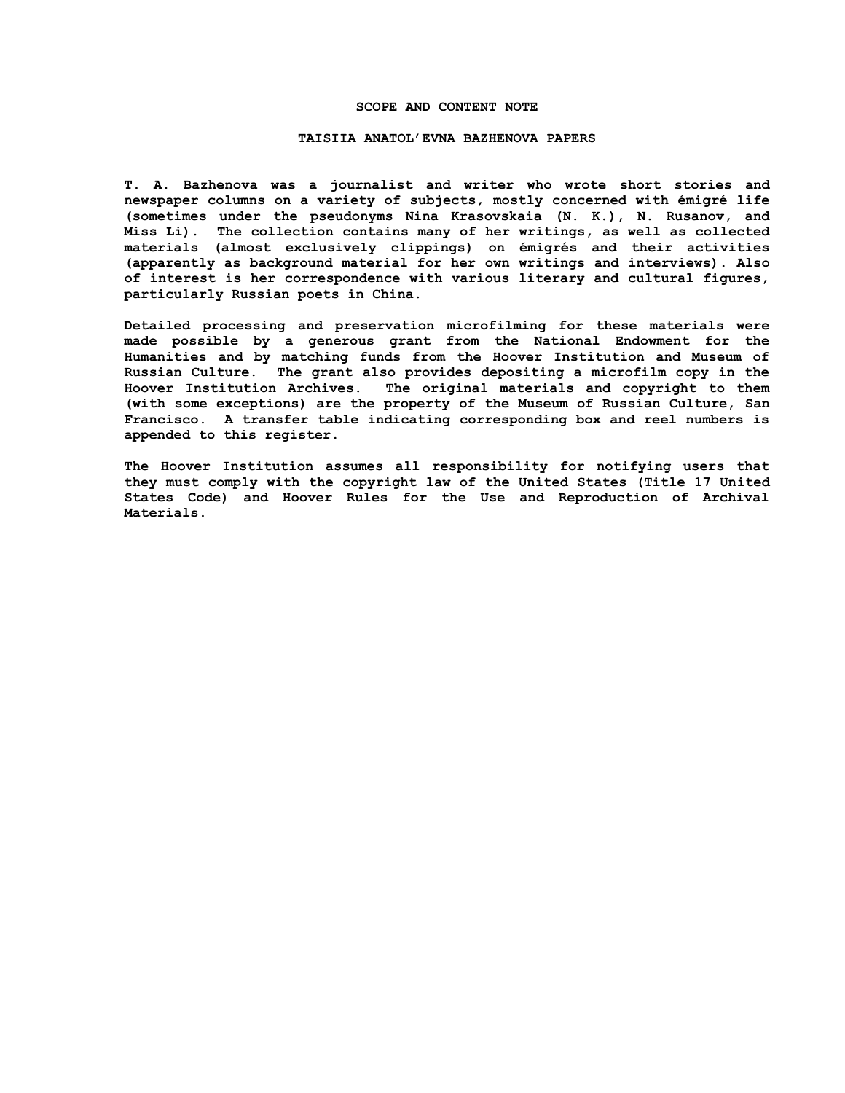## **SCOPE AND CONTENT NOTE**

## **TAISIIA ANATOL'EVNA BAZHENOVA PAPERS**

**T. A. Bazhenova was a journalist and writer who wrote short stories and newspaper columns on a variety of subjects, mostly concerned with émigré life (sometimes under the pseudonyms Nina Krasovskaia (N. K.), N. Rusanov, and Miss Li). The collection contains many of her writings, as well as collected materials (almost exclusively clippings) on émigrés and their activities (apparently as background material for her own writings and interviews). Also of interest is her correspondence with various literary and cultural figures, particularly Russian poets in China.**

**Detailed processing and preservation microfilming for these materials were made possible by a generous grant from the National Endowment for the Humanities and by matching funds from the Hoover Institution and Museum of Russian Culture. The grant also provides depositing a microfilm copy in the Hoover Institution Archives. The original materials and copyright to them (with some exceptions) are the property of the Museum of Russian Culture, San Francisco. A transfer table indicating corresponding box and reel numbers is appended to this register.**

**The Hoover Institution assumes all responsibility for notifying users that they must comply with the copyright law of the United States (Title 17 United States Code) and Hoover Rules for the Use and Reproduction of Archival Materials.**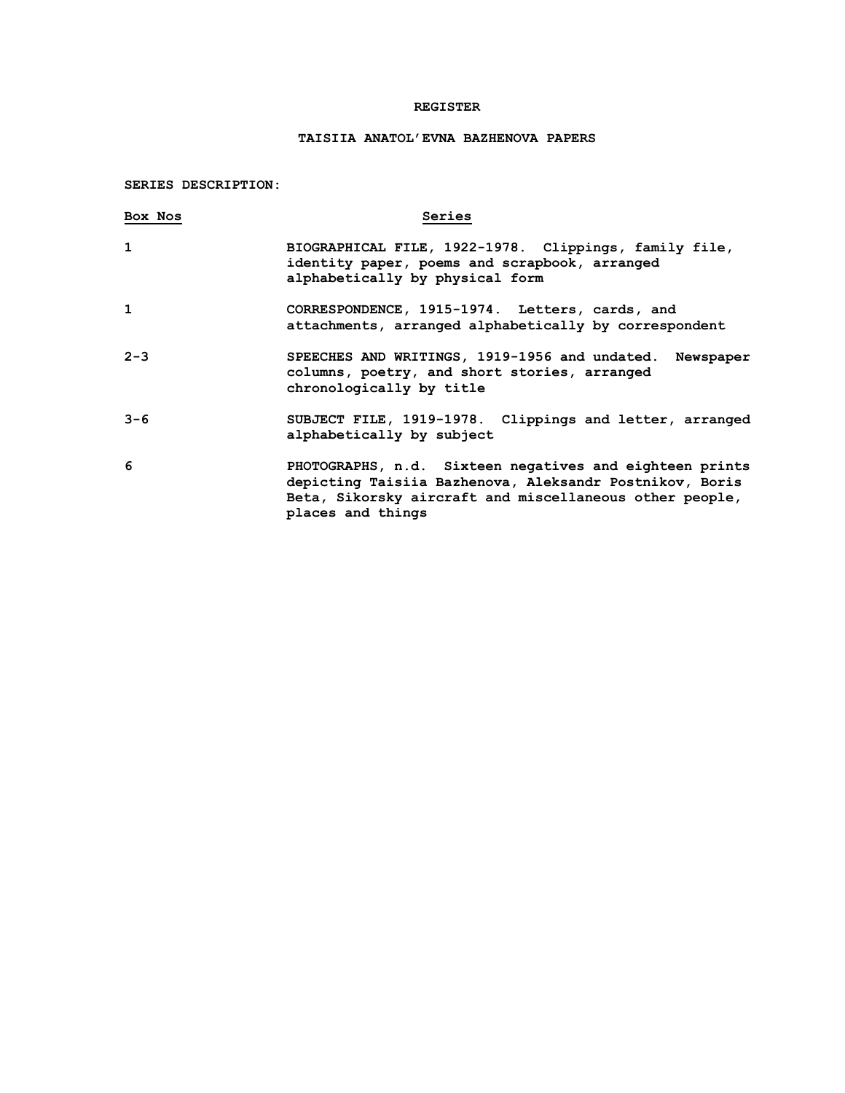## **REGISTER**

## **TAISIIA ANATOL'EVNA BAZHENOVA PAPERS**

**SERIES DESCRIPTION:**

| Box Nos      | Series                                                                                                                                                                                             |
|--------------|----------------------------------------------------------------------------------------------------------------------------------------------------------------------------------------------------|
| $\mathbf{1}$ | BIOGRAPHICAL FILE, 1922-1978. Clippings, family file,<br>identity paper, poems and scrapbook, arranged<br>alphabetically by physical form                                                          |
| $\mathbf{1}$ | CORRESPONDENCE, 1915-1974. Letters, cards, and<br>attachments, arranged alphabetically by correspondent                                                                                            |
| $2 - 3$      | SPEECHES AND WRITINGS, 1919-1956 and undated. Newspaper<br>columns, poetry, and short stories, arranged<br>chronologically by title                                                                |
| $3 - 6$      | SUBJECT FILE, 1919-1978. Clippings and letter, arranged<br>alphabetically by subject                                                                                                               |
| 6            | PHOTOGRAPHS, n.d. Sixteen negatives and eighteen prints<br>depicting Taisiia Bazhenova, Aleksandr Postnikov, Boris<br>Beta, Sikorsky aircraft and miscellaneous other people,<br>places and things |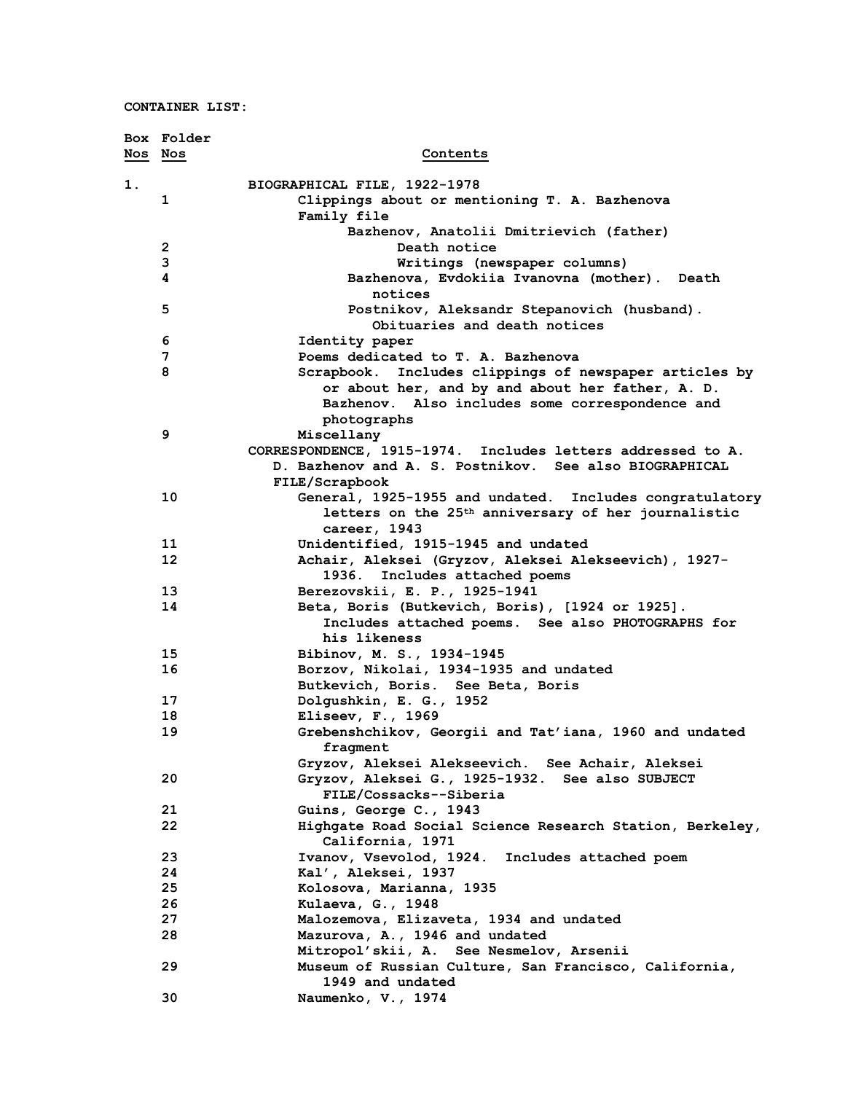|         | Box Folder |                                                                 |
|---------|------------|-----------------------------------------------------------------|
| Nos Nos |            | Contents                                                        |
| 1.      |            | BIOGRAPHICAL FILE, 1922-1978                                    |
|         | 1          | Clippings about or mentioning T. A. Bazhenova                   |
|         |            | Family file                                                     |
|         |            | Bazhenov, Anatolii Dmitrievich (father)                         |
|         | 2          | Death notice                                                    |
|         | 3          | Writings (newspaper columns)                                    |
|         | 4          | Bazhenova, Evdokiia Ivanovna (mother). Death                    |
|         |            | notices                                                         |
|         | 5          | Postnikov, Aleksandr Stepanovich (husband).                     |
|         |            | Obituaries and death notices                                    |
|         | 6          | Identity paper                                                  |
|         | 7          | Poems dedicated to T. A. Bazhenova                              |
|         | 8          | Scrapbook. Includes clippings of newspaper articles by          |
|         |            | or about her, and by and about her father, A. D.                |
|         |            | Bazhenov. Also includes some correspondence and                 |
|         |            | photographs                                                     |
|         | 9          | Miscellany                                                      |
|         |            | CORRESPONDENCE, 1915-1974. Includes letters addressed to A.     |
|         |            | D. Bazhenov and A. S. Postnikov. See also BIOGRAPHICAL          |
|         |            | FILE/Scrapbook                                                  |
|         | 10         | General, 1925-1955 and undated. Includes congratulatory         |
|         |            | letters on the 25 <sup>th</sup> anniversary of her journalistic |
|         |            | career, 1943                                                    |
|         | 11         | Unidentified, 1915-1945 and undated                             |
|         | 12         | Achair, Aleksei (Gryzov, Aleksei Alekseevich), 1927-            |
|         |            | Includes attached poems<br>1936.                                |
|         | 13         | Berezovskii, E. P., 1925-1941                                   |
|         | 14         | Beta, Boris (Butkevich, Boris), [1924 or 1925].                 |
|         |            | Includes attached poems. See also PHOTOGRAPHS for               |
|         |            | his likeness                                                    |
|         | 15         | Bibinov, M. S., 1934-1945                                       |
|         | 16         | Borzov, Nikolai, 1934-1935 and undated                          |
|         |            | Butkevich, Boris. See Beta, Boris                               |
|         | 17         | Dolgushkin, E. G., 1952                                         |
|         | 18         | Eliseev, $F.$ , 1969                                            |
|         | 19         | Grebenshchikov, Georgii and Tat'iana, 1960 and undated          |
|         |            | fragment<br>Gryzov, Aleksei Alekseevich. See Achair, Aleksei    |
|         | 20         | Gryzov, Aleksei G., 1925-1932. See also SUBJECT                 |
|         |            | FILE/Cossacks--Siberia                                          |
|         | 21         | Guins, George C., 1943                                          |
|         | 22         | Highgate Road Social Science Research Station, Berkeley,        |
|         |            | California, 1971                                                |
|         | 23         | Ivanov, Vsevolod, 1924. Includes attached poem                  |
|         | 24         | Kal', Aleksei, 1937                                             |
|         | 25         | Kolosova, Marianna, 1935                                        |
|         | 26         | Kulaeva, G., 1948                                               |
|         | 27         | Malozemova, Elizaveta, 1934 and undated                         |
|         | 28         | Mazurova, A., 1946 and undated                                  |
|         |            | Mitropol'skii, A. See Nesmelov, Arsenii                         |
|         | 29         | Museum of Russian Culture, San Francisco, California,           |
|         |            | 1949 and undated                                                |
|         | 30         | Naumenko, V., 1974                                              |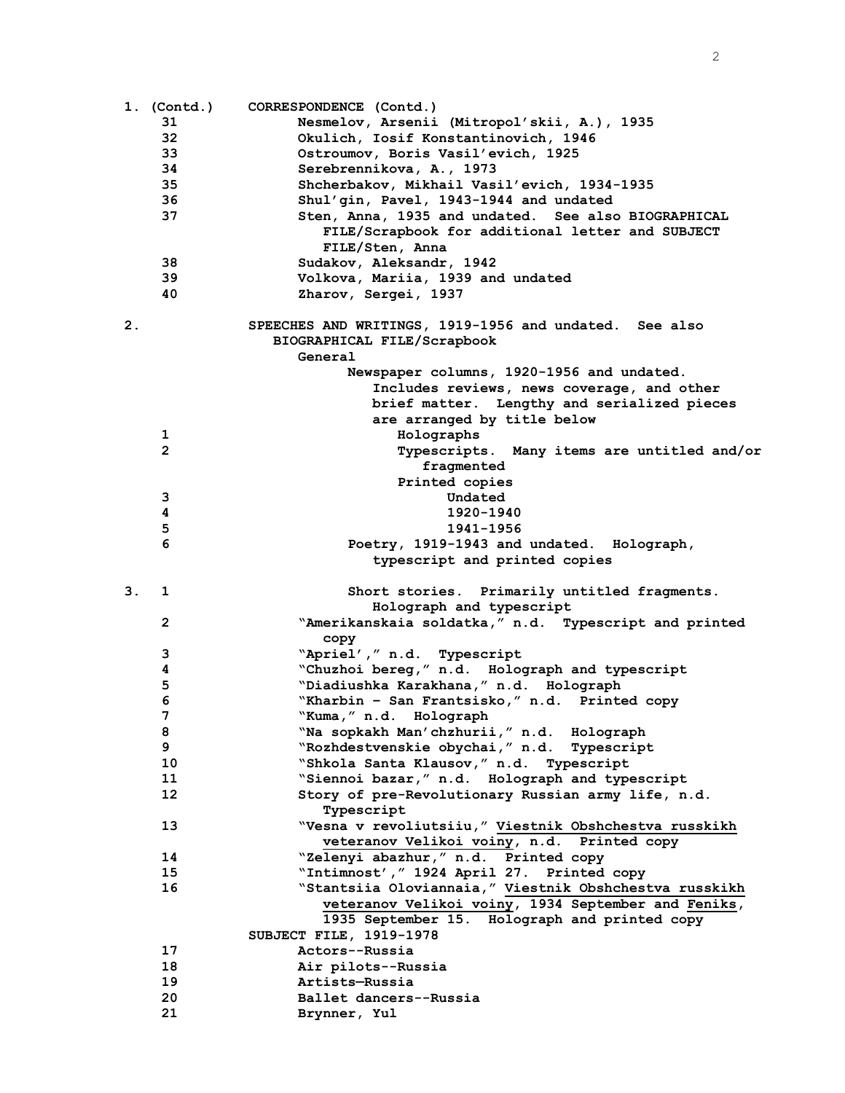|    | 1. (Contd.)    | CORRESPONDENCE (Contd.)                                |
|----|----------------|--------------------------------------------------------|
|    | 31             | Nesmelov, Arsenii (Mitropol'skii, A.), 1935            |
|    | 32             | Okulich, Iosif Konstantinovich, 1946                   |
|    | 33             | Ostroumov, Boris Vasil'evich, 1925                     |
|    | 34             | Serebrennikova, A., 1973                               |
|    | 35             | Shcherbakov, Mikhail Vasil'evich, 1934-1935            |
|    | 36             | Shul'gin, Pavel, 1943-1944 and undated                 |
|    | 37             | Sten, Anna, 1935 and undated. See also BIOGRAPHICAL    |
|    |                | FILE/Scrapbook for additional letter and SUBJECT       |
|    |                | FILE/Sten, Anna                                        |
|    | 38             | Sudakov, Aleksandr, 1942                               |
|    | 39             | Volkova, Mariia, 1939 and undated                      |
|    | 40             | Zharov, Sergei, 1937                                   |
|    |                |                                                        |
| 2. |                | SPEECHES AND WRITINGS, 1919-1956 and undated. See also |
|    |                | BIOGRAPHICAL FILE/Scrapbook                            |
|    |                | General                                                |
|    |                |                                                        |
|    |                | Newspaper columns, 1920-1956 and undated.              |
|    |                | Includes reviews, news coverage, and other             |
|    |                | brief matter. Lengthy and serialized pieces            |
|    |                | are arranged by title below                            |
|    | 1              | Holographs                                             |
|    | $\overline{2}$ | Typescripts. Many items are untitled and/or            |
|    |                | fragmented                                             |
|    |                | Printed copies                                         |
|    | 3              | Undated                                                |
|    | 4              | 1920-1940                                              |
|    | 5              | 1941-1956                                              |
|    | 6              | Poetry, 1919-1943 and undated. Holograph,              |
|    |                | typescript and printed copies                          |
| 3. | 1              | Short stories. Primarily untitled fragments.           |
|    |                | Holograph and typescript                               |
|    | $\mathbf{2}$   | "Amerikanskaia soldatka," n.d. Typescript and printed  |
|    |                | copy                                                   |
|    | 3              | "Apriel'," n.d. Typescript                             |
|    | 4              | "Chuzhoi bereg," n.d. Holograph and typescript         |
|    | 5              | "Diadiushka Karakhana," n.d. Holograph                 |
|    | 6              | "Kharbin - San Frantsisko," n.d. Printed copy          |
|    | 7              |                                                        |
|    |                | "Kuma," n.d. Holograph                                 |
|    | 8              | "Na sopkakh Man'chzhurii," n.d. Holograph              |
|    | 9              | "Rozhdestvenskie obychai," n.d.<br>Typescript          |
|    | 10             | "Shkola Santa Klausov," n.d. Typescript                |
|    | 11             | "Siennoi bazar," n.d. Holograph and typescript         |
|    | 12             | Story of pre-Revolutionary Russian army life, n.d.     |
|    |                | Typescript                                             |
|    | 13             | "Vesna v revoliutsiiu," Viestnik Obshchestva russkikh  |
|    |                | veteranov Velikoi voiny, n.d. Printed copy             |
|    | 14             | "Zelenyi abazhur," n.d. Printed copy                   |
|    | 15             | "Intimnost', " 1924 April 27. Printed copy             |
|    | 16             | "Stantsiia Oloviannaia," Viestnik Obshchestva russkikh |
|    |                | veteranov Velikoi voiny, 1934 September and Feniks,    |
|    |                | 1935 September 15. Holograph and printed copy          |
|    |                | SUBJECT FILE, 1919-1978                                |
|    | 17             | Actors--Russia                                         |
|    | 18             | Air pilots--Russia                                     |
|    | 19             | Artists-Russia                                         |
|    | 20             | Ballet dancers--Russia                                 |
|    | 21             | Brynner, Yul                                           |